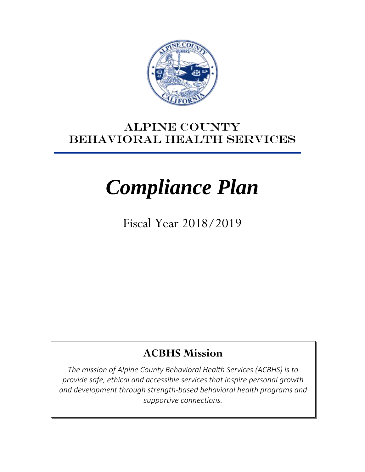

# ALPINE county BEHAVIORAL Health SERVICES

# *Compliance Plan*

Fiscal Year 2018/2019

# **ACBHS Mission**

*The mission of Alpine County Behavioral Health Services (ACBHS) is to provide safe, ethical and accessible services that inspire personal growth and development through strength-based behavioral health programs and supportive connections.*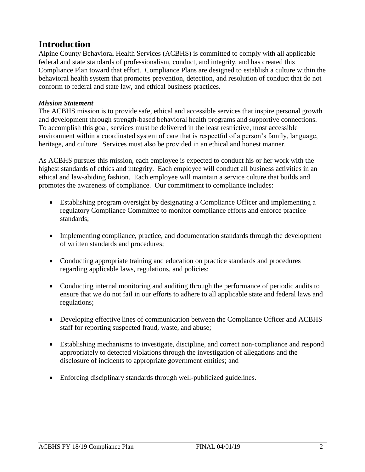# **Introduction**

Alpine County Behavioral Health Services (ACBHS) is committed to comply with all applicable federal and state standards of professionalism, conduct, and integrity, and has created this Compliance Plan toward that effort. Compliance Plans are designed to establish a culture within the behavioral health system that promotes prevention, detection, and resolution of conduct that do not conform to federal and state law, and ethical business practices.

#### *Mission Statement*

The ACBHS mission is to provide safe, ethical and accessible services that inspire personal growth and development through strength-based behavioral health programs and supportive connections. To accomplish this goal, services must be delivered in the least restrictive, most accessible environment within a coordinated system of care that is respectful of a person's family, language, heritage, and culture. Services must also be provided in an ethical and honest manner.

As ACBHS pursues this mission, each employee is expected to conduct his or her work with the highest standards of ethics and integrity. Each employee will conduct all business activities in an ethical and law-abiding fashion. Each employee will maintain a service culture that builds and promotes the awareness of compliance. Our commitment to compliance includes:

- Establishing program oversight by designating a Compliance Officer and implementing a regulatory Compliance Committee to monitor compliance efforts and enforce practice standards;
- Implementing compliance, practice, and documentation standards through the development of written standards and procedures;
- Conducting appropriate training and education on practice standards and procedures regarding applicable laws, regulations, and policies;
- Conducting internal monitoring and auditing through the performance of periodic audits to ensure that we do not fail in our efforts to adhere to all applicable state and federal laws and regulations;
- Developing effective lines of communication between the Compliance Officer and ACBHS staff for reporting suspected fraud, waste, and abuse;
- Establishing mechanisms to investigate, discipline, and correct non-compliance and respond appropriately to detected violations through the investigation of allegations and the disclosure of incidents to appropriate government entities; and
- Enforcing disciplinary standards through well-publicized guidelines.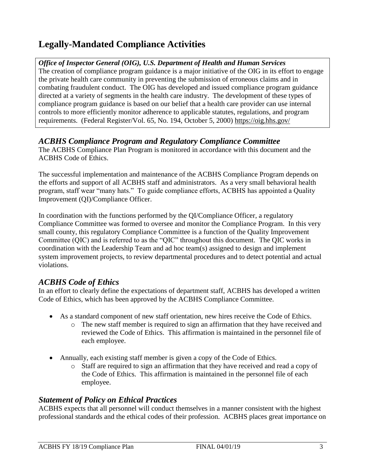# **Legally-Mandated Compliance Activities**

#### *Office of Inspector General (OIG), U.S. Department of Health and Human Services*

The creation of compliance program guidance is a major initiative of the OIG in its effort to engage the private health care community in preventing the submission of erroneous claims and in combating fraudulent conduct. The OIG has developed and issued compliance program guidance directed at a variety of segments in the health care industry. The development of these types of compliance program guidance is based on our belief that a health care provider can use internal controls to more efficiently monitor adherence to applicable statutes, regulations, and program requirements. (Federal Register/Vol. 65, No. 194, October 5, 2000) https://oig.hhs.gov/

#### *ACBHS Compliance Program and Regulatory Compliance Committee*

The ACBHS Compliance Plan Program is monitored in accordance with this document and the ACBHS Code of Ethics.

The successful implementation and maintenance of the ACBHS Compliance Program depends on the efforts and support of all ACBHS staff and administrators. As a very small behavioral health program, staff wear "many hats." To guide compliance efforts, ACBHS has appointed a Quality Improvement (QI)/Compliance Officer.

In coordination with the functions performed by the QI/Compliance Officer, a regulatory Compliance Committee was formed to oversee and monitor the Compliance Program. In this very small county, this regulatory Compliance Committee is a function of the Quality Improvement Committee (QIC) and is referred to as the "QIC" throughout this document. The QIC works in coordination with the Leadership Team and ad hoc team(s) assigned to design and implement system improvement projects, to review departmental procedures and to detect potential and actual violations.

# *ACBHS Code of Ethics*

In an effort to clearly define the expectations of department staff, ACBHS has developed a written Code of Ethics, which has been approved by the ACBHS Compliance Committee.

- As a standard component of new staff orientation, new hires receive the Code of Ethics.
	- o The new staff member is required to sign an affirmation that they have received and reviewed the Code of Ethics. This affirmation is maintained in the personnel file of each employee.
- Annually, each existing staff member is given a copy of the Code of Ethics.
	- o Staff are required to sign an affirmation that they have received and read a copy of the Code of Ethics. This affirmation is maintained in the personnel file of each employee.

# *Statement of Policy on Ethical Practices*

ACBHS expects that all personnel will conduct themselves in a manner consistent with the highest professional standards and the ethical codes of their profession. ACBHS places great importance on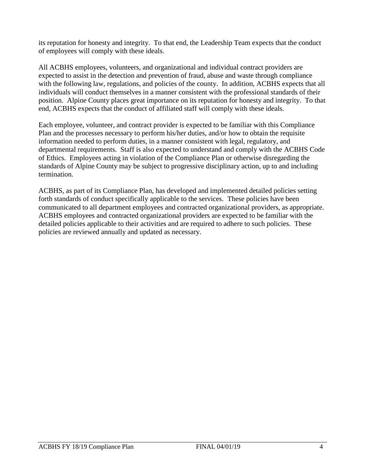its reputation for honesty and integrity. To that end, the Leadership Team expects that the conduct of employees will comply with these ideals.

All ACBHS employees, volunteers, and organizational and individual contract providers are expected to assist in the detection and prevention of fraud, abuse and waste through compliance with the following law, regulations, and policies of the county. In addition, ACBHS expects that all individuals will conduct themselves in a manner consistent with the professional standards of their position. Alpine County places great importance on its reputation for honesty and integrity. To that end, ACBHS expects that the conduct of affiliated staff will comply with these ideals.

Each employee, volunteer, and contract provider is expected to be familiar with this Compliance Plan and the processes necessary to perform his/her duties, and/or how to obtain the requisite information needed to perform duties, in a manner consistent with legal, regulatory, and departmental requirements. Staff is also expected to understand and comply with the ACBHS Code of Ethics.Employees acting in violation of the Compliance Plan or otherwise disregarding the standards of Alpine County may be subject to progressive disciplinary action, up to and including termination.

ACBHS, as part of its Compliance Plan, has developed and implemented detailed policies setting forth standards of conduct specifically applicable to the services. These policies have been communicated to all department employees and contracted organizational providers, as appropriate. ACBHS employees and contracted organizational providers are expected to be familiar with the detailed policies applicable to their activities and are required to adhere to such policies. These policies are reviewed annually and updated as necessary.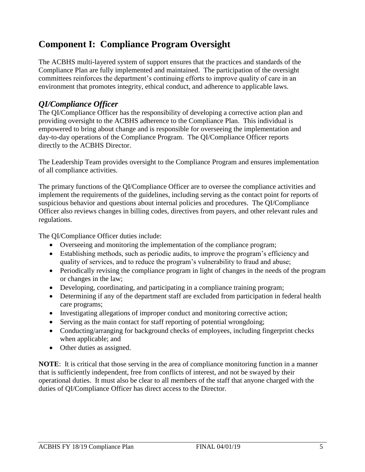# **Component I: Compliance Program Oversight**

The ACBHS multi-layered system of support ensures that the practices and standards of the Compliance Plan are fully implemented and maintained. The participation of the oversight committees reinforces the department's continuing efforts to improve quality of care in an environment that promotes integrity, ethical conduct, and adherence to applicable laws.

## *QI/Compliance Officer*

The QI/Compliance Officer has the responsibility of developing a corrective action plan and providing oversight to the ACBHS adherence to the Compliance Plan. This individual is empowered to bring about change and is responsible for overseeing the implementation and day-to-day operations of the Compliance Program. The QI/Compliance Officer reports directly to the ACBHS Director.

The Leadership Team provides oversight to the Compliance Program and ensures implementation of all compliance activities.

The primary functions of the QI/Compliance Officer are to oversee the compliance activities and implement the requirements of the guidelines, including serving as the contact point for reports of suspicious behavior and questions about internal policies and procedures. The QI/Compliance Officer also reviews changes in billing codes, directives from payers, and other relevant rules and regulations.

The QI/Compliance Officer duties include:

- Overseeing and monitoring the implementation of the compliance program;
- Establishing methods, such as periodic audits, to improve the program's efficiency and quality of services, and to reduce the program's vulnerability to fraud and abuse;
- Periodically revising the compliance program in light of changes in the needs of the program or changes in the law;
- Developing, coordinating, and participating in a compliance training program;
- Determining if any of the department staff are excluded from participation in federal health care programs;
- Investigating allegations of improper conduct and monitoring corrective action;
- Serving as the main contact for staff reporting of potential wrongdoing;
- Conducting/arranging for background checks of employees, including fingerprint checks when applicable; and
- Other duties as assigned.

**NOTE**: It is critical that those serving in the area of compliance monitoring function in a manner that is sufficiently independent, free from conflicts of interest, and not be swayed by their operational duties. It must also be clear to all members of the staff that anyone charged with the duties of QI/Compliance Officer has direct access to the Director.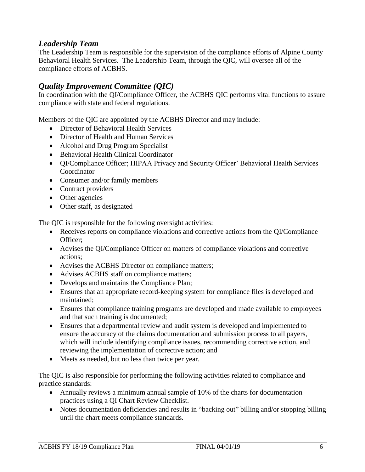## *Leadership Team*

The Leadership Team is responsible for the supervision of the compliance efforts of Alpine County Behavioral Health Services. The Leadership Team, through the QIC, will oversee all of the compliance efforts of ACBHS.

# *Quality Improvement Committee (QIC)*

In coordination with the QI/Compliance Officer, the ACBHS QIC performs vital functions to assure compliance with state and federal regulations.

Members of the QIC are appointed by the ACBHS Director and may include:

- Director of Behavioral Health Services
- Director of Health and Human Services
- Alcohol and Drug Program Specialist
- Behavioral Health Clinical Coordinator
- QI/Compliance Officer; HIPAA Privacy and Security Officer' Behavioral Health Services Coordinator
- Consumer and/or family members
- Contract providers
- Other agencies
- Other staff, as designated

The QIC is responsible for the following oversight activities:

- Receives reports on compliance violations and corrective actions from the OI/Compliance Officer;
- Advises the QI/Compliance Officer on matters of compliance violations and corrective actions;
- Advises the ACBHS Director on compliance matters;
- Advises ACBHS staff on compliance matters;
- Develops and maintains the Compliance Plan;
- Ensures that an appropriate record-keeping system for compliance files is developed and maintained;
- Ensures that compliance training programs are developed and made available to employees and that such training is documented;
- Ensures that a departmental review and audit system is developed and implemented to ensure the accuracy of the claims documentation and submission process to all payers, which will include identifying compliance issues, recommending corrective action, and reviewing the implementation of corrective action; and
- Meets as needed, but no less than twice per year.

The QIC is also responsible for performing the following activities related to compliance and practice standards:

- Annually reviews a minimum annual sample of 10% of the charts for documentation practices using a QI Chart Review Checklist.
- Notes documentation deficiencies and results in "backing out" billing and/or stopping billing until the chart meets compliance standards.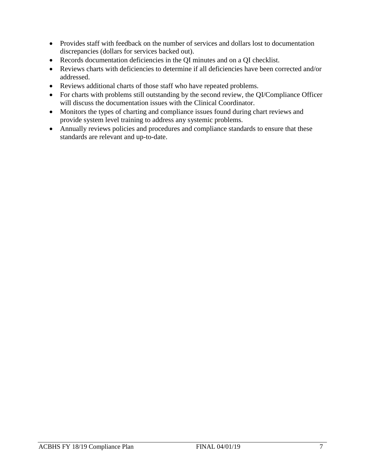- Provides staff with feedback on the number of services and dollars lost to documentation discrepancies (dollars for services backed out).
- Records documentation deficiencies in the QI minutes and on a QI checklist.
- Reviews charts with deficiencies to determine if all deficiencies have been corrected and/or addressed.
- Reviews additional charts of those staff who have repeated problems.
- For charts with problems still outstanding by the second review, the QI/Compliance Officer will discuss the documentation issues with the Clinical Coordinator.
- Monitors the types of charting and compliance issues found during chart reviews and provide system level training to address any systemic problems.
- Annually reviews policies and procedures and compliance standards to ensure that these standards are relevant and up-to-date.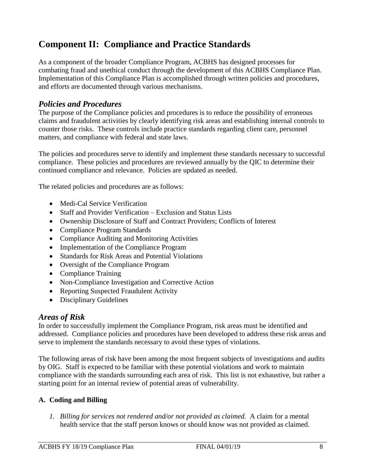# **Component II: Compliance and Practice Standards**

As a component of the broader Compliance Program, ACBHS has designed processes for combating fraud and unethical conduct through the development of this ACBHS Compliance Plan. Implementation of this Compliance Plan is accomplished through written policies and procedures, and efforts are documented through various mechanisms.

## *Policies and Procedures*

The purpose of the Compliance policies and procedures is to reduce the possibility of erroneous claims and fraudulent activities by clearly identifying risk areas and establishing internal controls to counter those risks. These controls include practice standards regarding client care, personnel matters, and compliance with federal and state laws.

The policies and procedures serve to identify and implement these standards necessary to successful compliance. These policies and procedures are reviewed annually by the QIC to determine their continued compliance and relevance. Policies are updated as needed.

The related policies and procedures are as follows:

- Medi-Cal Service Verification
- Staff and Provider Verification Exclusion and Status Lists
- Ownership Disclosure of Staff and Contract Providers; Conflicts of Interest
- Compliance Program Standards
- Compliance Auditing and Monitoring Activities
- Implementation of the Compliance Program
- Standards for Risk Areas and Potential Violations
- Oversight of the Compliance Program
- Compliance Training
- Non-Compliance Investigation and Corrective Action
- Reporting Suspected Fraudulent Activity
- Disciplinary Guidelines

#### *Areas of Risk*

In order to successfully implement the Compliance Program, risk areas must be identified and addressed. Compliance policies and procedures have been developed to address these risk areas and serve to implement the standards necessary to avoid these types of violations.

The following areas of risk have been among the most frequent subjects of investigations and audits by OIG. Staff is expected to be familiar with these potential violations and work to maintain compliance with the standards surrounding each area of risk. This list is not exhaustive, but rather a starting point for an internal review of potential areas of vulnerability.

#### **A. Coding and Billing**

*1. Billing for services not rendered and/or not provided as claimed.* A claim for a mental health service that the staff person knows or should know was not provided as claimed.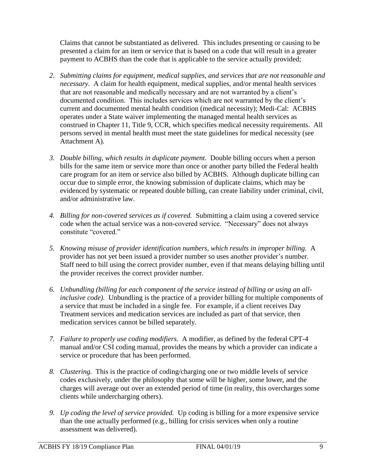Claims that cannot be substantiated as delivered. This includes presenting or causing to be presented a claim for an item or service that is based on a code that will result in a greater payment to ACBHS than the code that is applicable to the service actually provided;

- *2. Submitting claims for equipment, medical supplies, and services that are not reasonable and necessary.* A claim for health equipment, medical supplies, and/or mental health services that are not reasonable and medically necessary and are not warranted by a client's documented condition. This includes services which are not warranted by the client's current and documented mental health condition (medical necessity); Medi-Cal: ACBHS operates under a State waiver implementing the managed mental health services as construed in Chapter 11, Title 9, CCR, which specifies medical necessity requirements. All persons served in mental health must meet the state guidelines for medical necessity (see Attachment A).
- *3. Double billing, which results in duplicate payment.* Double billing occurs when a person bills for the same item or service more than once or another party billed the Federal health care program for an item or service also billed by ACBHS. Although duplicate billing can occur due to simple error, the knowing submission of duplicate claims, which may be evidenced by systematic or repeated double billing, can create liability under criminal, civil, and/or administrative law.
- *4. Billing for non-covered services as if covered.* Submitting a claim using a covered service code when the actual service was a non-covered service. "Necessary" does not always constitute "covered."
- *5. Knowing misuse of provider identification numbers, which results in improper billing.* A provider has not yet been issued a provider number so uses another provider's number. Staff need to bill using the correct provider number, even if that means delaying billing until the provider receives the correct provider number.
- *6. Unbundling (billing for each component of the service instead of billing or using an allinclusive code).* Unbundling is the practice of a provider billing for multiple components of a service that must be included in a single fee. For example, if a client receives Day Treatment services and medication services are included as part of that service, then medication services cannot be billed separately.
- *7. Failure to properly use coding modifiers.* A modifier, as defined by the federal CPT-4 manual and/or CSI coding manual, provides the means by which a provider can indicate a service or procedure that has been performed.
- *8. Clustering.* This is the practice of coding/charging one or two middle levels of service codes exclusively, under the philosophy that some will be higher, some lower, and the charges will average out over an extended period of time (in reality, this overcharges some clients while undercharging others).
- *9. Up coding the level of service provided.* Up coding is billing for a more expensive service than the one actually performed (e.g., billing for crisis services when only a routine assessment was delivered).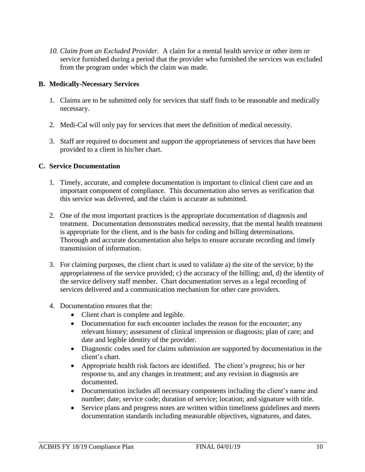*10. Claim from an Excluded Provider.* A claim for a mental health service or other item or service furnished during a period that the provider who furnished the services was excluded from the program under which the claim was made.

#### **B. Medically-Necessary Services**

- 1. Claims are to be submitted only for services that staff finds to be reasonable and medically necessary.
- 2. Medi-Cal will only pay for services that meet the definition of medical necessity.
- 3. Staff are required to document and support the appropriateness of services that have been provided to a client in his/her chart.

#### **C. Service Documentation**

- 1. Timely, accurate, and complete documentation is important to clinical client care and an important component of compliance. This documentation also serves as verification that this service was delivered, and the claim is accurate as submitted.
- 2. One of the most important practices is the appropriate documentation of diagnosis and treatment. Documentation demonstrates medical necessity, that the mental health treatment is appropriate for the client, and is the basis for coding and billing determinations. Thorough and accurate documentation also helps to ensure accurate recording and timely transmission of information.
- 3. For claiming purposes, the client chart is used to validate a) the site of the service; b) the appropriateness of the service provided; c) the accuracy of the billing; and, d) the identity of the service delivery staff member. Chart documentation serves as a legal recording of services delivered and a communication mechanism for other care providers.
- 4. Documentation ensures that the:
	- Client chart is complete and legible.
	- Documentation for each encounter includes the reason for the encounter; any relevant history; assessment of clinical impression or diagnosis; plan of care; and date and legible identity of the provider.
	- Diagnostic codes used for claims submission are supported by documentation in the client's chart.
	- Appropriate health risk factors are identified. The client's progress; his or her response to, and any changes in treatment; and any revision in diagnosis are documented.
	- Documentation includes all necessary components including the client's name and number; date; service code; duration of service; location; and signature with title.
	- Service plans and progress notes are written within timeliness guidelines and meets documentation standards including measurable objectives, signatures, and dates.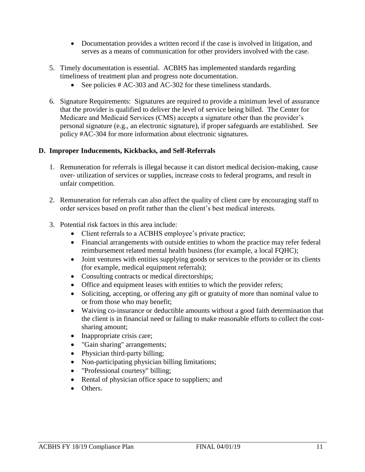- Documentation provides a written record if the case is involved in litigation, and serves as a means of communication for other providers involved with the case.
- 5. Timely documentation is essential. ACBHS has implemented standards regarding timeliness of treatment plan and progress note documentation.
	- See policies # AC-303 and AC-302 for these timeliness standards.
- 6. Signature Requirements: Signatures are required to provide a minimum level of assurance that the provider is qualified to deliver the level of service being billed. The Center for Medicare and Medicaid Services (CMS) accepts a signature other than the provider's personal signature (e.g., an electronic signature), if proper safeguards are established. See policy #AC-304 for more information about electronic signatures.

#### **D. Improper Inducements, Kickbacks, and Self-Referrals**

- 1. Remuneration for referrals is illegal because it can distort medical decision-making, cause over- utilization of services or supplies, increase costs to federal programs, and result in unfair competition.
- 2. Remuneration for referrals can also affect the quality of client care by encouraging staff to order services based on profit rather than the client's best medical interests.
- 3. Potential risk factors in this area include:
	- Client referrals to a ACBHS employee's private practice;
	- Financial arrangements with outside entities to whom the practice may refer federal reimbursement related mental health business (for example, a local FQHC);
	- Joint ventures with entities supplying goods or services to the provider or its clients (for example, medical equipment referrals);
	- Consulting contracts or medical directorships;
	- Office and equipment leases with entities to which the provider refers;
	- Soliciting, accepting, or offering any gift or gratuity of more than nominal value to or from those who may benefit;
	- Waiving co-insurance or deductible amounts without a good faith determination that the client is in financial need or failing to make reasonable efforts to collect the costsharing amount;
	- Inappropriate crisis care;
	- "Gain sharing" arrangements;
	- Physician third-party billing;
	- Non-participating physician billing limitations;
	- "Professional courtesy" billing;
	- Rental of physician office space to suppliers; and
	- Others.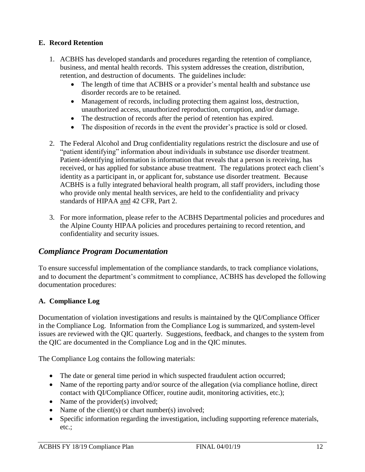#### **E. Record Retention**

- 1. ACBHS has developed standards and procedures regarding the retention of compliance, business, and mental health records. This system addresses the creation, distribution, retention, and destruction of documents. The guidelines include:
	- The length of time that ACBHS or a provider's mental health and substance use disorder records are to be retained.
	- Management of records, including protecting them against loss, destruction, unauthorized access, unauthorized reproduction, corruption, and/or damage.
	- The destruction of records after the period of retention has expired.
	- The disposition of records in the event the provider's practice is sold or closed.
- 2. The Federal Alcohol and Drug confidentiality regulations restrict the disclosure and use of "patient identifying" information about individuals in substance use disorder treatment. Patient-identifying information is information that reveals that a person is receiving, has received, or has applied for substance abuse treatment. The regulations protect each client's identity as a participant in, or applicant for, substance use disorder treatment. Because ACBHS is a fully integrated behavioral health program, all staff providers, including those who provide only mental health services, are held to the confidentiality and privacy standards of HIPAA and 42 CFR, Part 2.
- 3. For more information, please refer to the ACBHS Departmental policies and procedures and the Alpine County HIPAA policies and procedures pertaining to record retention, and confidentiality and security issues.

## *Compliance Program Documentation*

To ensure successful implementation of the compliance standards, to track compliance violations, and to document the department's commitment to compliance, ACBHS has developed the following documentation procedures:

#### **A. Compliance Log**

Documentation of violation investigations and results is maintained by the QI/Compliance Officer in the Compliance Log. Information from the Compliance Log is summarized, and system-level issues are reviewed with the QIC quarterly. Suggestions, feedback, and changes to the system from the QIC are documented in the Compliance Log and in the QIC minutes.

The Compliance Log contains the following materials:

- The date or general time period in which suspected fraudulent action occurred;
- Name of the reporting party and/or source of the allegation (via compliance hotline, direct contact with QI/Compliance Officer, routine audit, monitoring activities, etc.);
- Name of the provider $(s)$  involved;
- Name of the client(s) or chart number(s) involved;
- Specific information regarding the investigation, including supporting reference materials, etc.;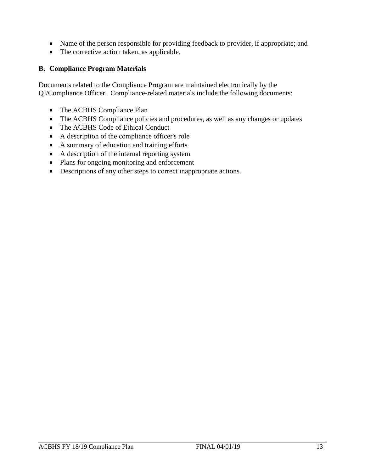- Name of the person responsible for providing feedback to provider, if appropriate; and
- The corrective action taken, as applicable.

#### **B. Compliance Program Materials**

Documents related to the Compliance Program are maintained electronically by the QI/Compliance Officer. Compliance-related materials include the following documents:

- The ACBHS Compliance Plan
- The ACBHS Compliance policies and procedures, as well as any changes or updates
- The ACBHS Code of Ethical Conduct
- A description of the compliance officer's role
- A summary of education and training efforts
- A description of the internal reporting system
- Plans for ongoing monitoring and enforcement
- Descriptions of any other steps to correct inappropriate actions.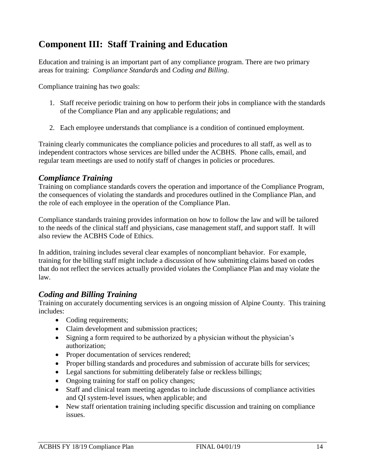# **Component III: Staff Training and Education**

Education and training is an important part of any compliance program. There are two primary areas for training: *Compliance Standards* and *Coding and Billing*.

Compliance training has two goals:

- 1. Staff receive periodic training on how to perform their jobs in compliance with the standards of the Compliance Plan and any applicable regulations; and
- 2. Each employee understands that compliance is a condition of continued employment.

Training clearly communicates the compliance policies and procedures to all staff, as well as to independent contractors whose services are billed under the ACBHS. Phone calls, email, and regular team meetings are used to notify staff of changes in policies or procedures.

## *Compliance Training*

Training on compliance standards covers the operation and importance of the Compliance Program, the consequences of violating the standards and procedures outlined in the Compliance Plan, and the role of each employee in the operation of the Compliance Plan.

Compliance standards training provides information on how to follow the law and will be tailored to the needs of the clinical staff and physicians, case management staff, and support staff. It will also review the ACBHS Code of Ethics.

In addition, training includes several clear examples of noncompliant behavior. For example, training for the billing staff might include a discussion of how submitting claims based on codes that do not reflect the services actually provided violates the Compliance Plan and may violate the law.

## *Coding and Billing Training*

Training on accurately documenting services is an ongoing mission of Alpine County. This training includes:

- Coding requirements;
- Claim development and submission practices;
- Signing a form required to be authorized by a physician without the physician's authorization;
- Proper documentation of services rendered;
- Proper billing standards and procedures and submission of accurate bills for services;
- Legal sanctions for submitting deliberately false or reckless billings;
- Ongoing training for staff on policy changes;
- Staff and clinical team meeting agendas to include discussions of compliance activities and QI system-level issues, when applicable; and
- New staff orientation training including specific discussion and training on compliance issues.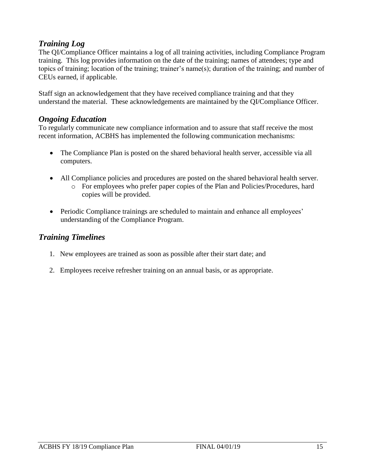## *Training Log*

The QI/Compliance Officer maintains a log of all training activities, including Compliance Program training. This log provides information on the date of the training; names of attendees; type and topics of training; location of the training; trainer's name(s); duration of the training; and number of CEUs earned, if applicable.

Staff sign an acknowledgement that they have received compliance training and that they understand the material. These acknowledgements are maintained by the QI/Compliance Officer.

#### *Ongoing Education*

To regularly communicate new compliance information and to assure that staff receive the most recent information, ACBHS has implemented the following communication mechanisms:

- The Compliance Plan is posted on the shared behavioral health server, accessible via all computers.
- All Compliance policies and procedures are posted on the shared behavioral health server.
	- o For employees who prefer paper copies of the Plan and Policies/Procedures, hard copies will be provided.
- Periodic Compliance trainings are scheduled to maintain and enhance all employees' understanding of the Compliance Program.

## *Training Timelines*

- 1. New employees are trained as soon as possible after their start date; and
- 2. Employees receive refresher training on an annual basis, or as appropriate.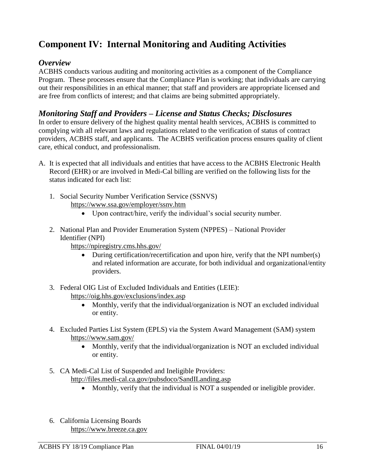# **Component IV: Internal Monitoring and Auditing Activities**

#### *Overview*

ACBHS conducts various auditing and monitoring activities as a component of the Compliance Program. These processes ensure that the Compliance Plan is working; that individuals are carrying out their responsibilities in an ethical manner; that staff and providers are appropriate licensed and are free from conflicts of interest; and that claims are being submitted appropriately.

## *Monitoring Staff and Providers – License and Status Checks; Disclosures*

In order to ensure delivery of the highest quality mental health services, ACBHS is committed to complying with all relevant laws and regulations related to the verification of status of contract providers, ACBHS staff, and applicants. The ACBHS verification process ensures quality of client care, ethical conduct, and professionalism.

- A. It is expected that all individuals and entities that have access to the ACBHS Electronic Health Record (EHR) or are involved in Medi-Cal billing are verified on the following lists for the status indicated for each list:
	- 1. Social Security Number Verification Service (SSNVS) https://www.ssa.gov/employer/ssnv.htm
		- Upon contract/hire, verify the individual's social security number.
	- 2. National Plan and Provider Enumeration System (NPPES) National Provider Identifier (NPI)

https://npiregistry.cms.hhs.gov/

- During certification/recertification and upon hire, verify that the NPI number(s) and related information are accurate, for both individual and organizational/entity providers.
- 3. Federal OIG List of Excluded Individuals and Entities (LEIE): <https://oig.hhs.gov/exclusions/index.asp>
	- Monthly, verify that the individual/organization is NOT an excluded individual or entity.
- 4. Excluded Parties List System (EPLS) via the System Award Management (SAM) system https://www.sam.gov/
	- Monthly, verify that the individual/organization is NOT an excluded individual or entity.
- 5. CA Medi-Cal List of Suspended and Ineligible Providers: http://files.medi-cal.ca.gov/pubsdoco/SandILanding.asp
	- Monthly, verify that the individual is NOT a suspended or ineligible provider.
- 6. California Licensing Boards [https://www.breeze.ca.gov](https://www.breeze.ca.gov/)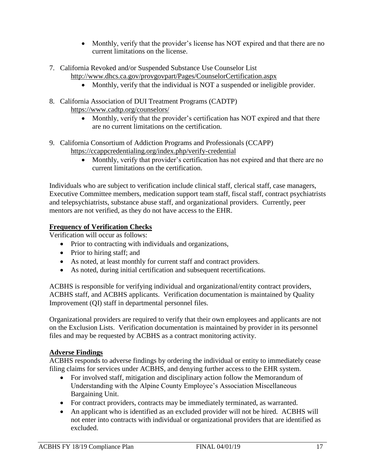- Monthly, verify that the provider's license has NOT expired and that there are no current limitations on the license.
- 7. California Revoked and/or Suspended Substance Use Counselor List
	- http://www.dhcs.ca.gov/provgovpart/Pages/CounselorCertification.aspx
		- Monthly, verify that the individual is NOT a suspended or ineligible provider.
- 8. California Association of DUI Treatment Programs (CADTP) https://www.cadtp.org/counselors/
	- Monthly, verify that the provider's certification has NOT expired and that there are no current limitations on the certification.
- 9. California Consortium of Addiction Programs and Professionals (CCAPP) https://ccappcredentialing.org/index.php/verify-credential
	- Monthly, verify that provider's certification has not expired and that there are no current limitations on the certification.

Individuals who are subject to verification include clinical staff, clerical staff, case managers, Executive Committee members, medication support team staff, fiscal staff, contract psychiatrists and telepsychiatrists, substance abuse staff, and organizational providers. Currently, peer mentors are not verified, as they do not have access to the EHR.

#### **Frequency of Verification Checks**

Verification will occur as follows:

- Prior to contracting with individuals and organizations,
- Prior to hiring staff; and
- As noted, at least monthly for current staff and contract providers.
- As noted, during initial certification and subsequent recertifications.

ACBHS is responsible for verifying individual and organizational/entity contract providers, ACBHS staff, and ACBHS applicants. Verification documentation is maintained by Quality Improvement (QI) staff in departmental personnel files.

Organizational providers are required to verify that their own employees and applicants are not on the Exclusion Lists. Verification documentation is maintained by provider in its personnel files and may be requested by ACBHS as a contract monitoring activity.

#### **Adverse Findings**

ACBHS responds to adverse findings by ordering the individual or entity to immediately cease filing claims for services under ACBHS, and denying further access to the EHR system.

- For involved staff, mitigation and disciplinary action follow the Memorandum of Understanding with the Alpine County Employee's Association Miscellaneous Bargaining Unit.
- For contract providers, contracts may be immediately terminated, as warranted.
- An applicant who is identified as an excluded provider will not be hired. ACBHS will not enter into contracts with individual or organizational providers that are identified as excluded.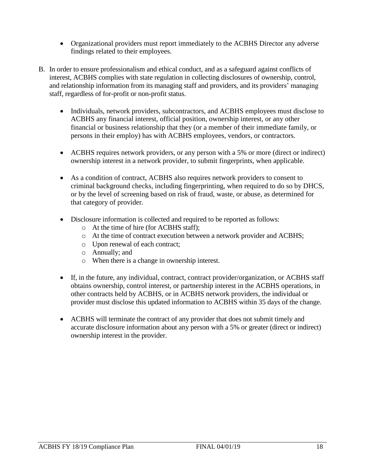- Organizational providers must report immediately to the ACBHS Director any adverse findings related to their employees.
- B. In order to ensure professionalism and ethical conduct, and as a safeguard against conflicts of interest, ACBHS complies with state regulation in collecting disclosures of ownership, control, and relationship information from its managing staff and providers, and its providers' managing staff, regardless of for-profit or non-profit status.
	- Individuals, network providers, subcontractors, and ACBHS employees must disclose to ACBHS any financial interest, official position, ownership interest, or any other financial or business relationship that they (or a member of their immediate family, or persons in their employ) has with ACBHS employees, vendors, or contractors.
	- ACBHS requires network providers, or any person with a 5% or more (direct or indirect) ownership interest in a network provider, to submit fingerprints, when applicable.
	- As a condition of contract, ACBHS also requires network providers to consent to criminal background checks, including fingerprinting, when required to do so by DHCS, or by the level of screening based on risk of fraud, waste, or abuse, as determined for that category of provider.
	- Disclosure information is collected and required to be reported as follows:
		- o At the time of hire (for ACBHS staff);
		- o At the time of contract execution between a network provider and ACBHS;
		- o Upon renewal of each contract;
		- o Annually; and
		- o When there is a change in ownership interest.
	- If, in the future, any individual, contract, contract provider/organization, or ACBHS staff obtains ownership, control interest, or partnership interest in the ACBHS operations, in other contracts held by ACBHS, or in ACBHS network providers, the individual or provider must disclose this updated information to ACBHS within 35 days of the change.
	- ACBHS will terminate the contract of any provider that does not submit timely and accurate disclosure information about any person with a 5% or greater (direct or indirect) ownership interest in the provider.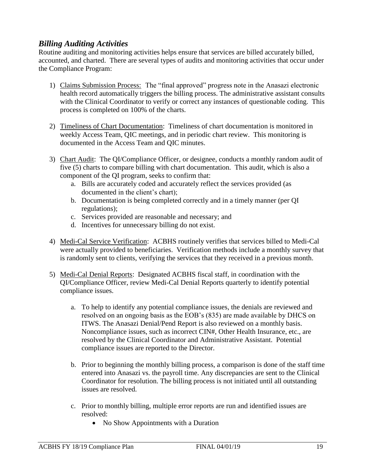## *Billing Auditing Activities*

Routine auditing and monitoring activities helps ensure that services are billed accurately billed, accounted, and charted. There are several types of audits and monitoring activities that occur under the Compliance Program:

- 1) Claims Submission Process: The "final approved" progress note in the Anasazi electronic health record automatically triggers the billing process. The administrative assistant consults with the Clinical Coordinator to verify or correct any instances of questionable coding. This process is completed on 100% of the charts.
- 2) Timeliness of Chart Documentation: Timeliness of chart documentation is monitored in weekly Access Team, QIC meetings, and in periodic chart review. This monitoring is documented in the Access Team and QIC minutes.
- 3) Chart Audit: The QI/Compliance Officer, or designee, conducts a monthly random audit of five (5) charts to compare billing with chart documentation. This audit, which is also a component of the QI program, seeks to confirm that:
	- a. Bills are accurately coded and accurately reflect the services provided (as documented in the client's chart);
	- b. Documentation is being completed correctly and in a timely manner (per QI regulations);
	- c. Services provided are reasonable and necessary; and
	- d. Incentives for unnecessary billing do not exist.
- 4) Medi-Cal Service Verification: ACBHS routinely verifies that services billed to Medi-Cal were actually provided to beneficiaries. Verification methods include a monthly survey that is randomly sent to clients, verifying the services that they received in a previous month.
- 5) Medi-Cal Denial Reports: Designated ACBHS fiscal staff, in coordination with the QI/Compliance Officer, review Medi-Cal Denial Reports quarterly to identify potential compliance issues.
	- a. To help to identify any potential compliance issues, the denials are reviewed and resolved on an ongoing basis as the EOB's (835) are made available by DHCS on ITWS. The Anasazi Denial/Pend Report is also reviewed on a monthly basis. Noncompliance issues, such as incorrect CIN#, Other Health Insurance, etc., are resolved by the Clinical Coordinator and Administrative Assistant. Potential compliance issues are reported to the Director.
	- b. Prior to beginning the monthly billing process, a comparison is done of the staff time entered into Anasazi vs. the payroll time. Any discrepancies are sent to the Clinical Coordinator for resolution. The billing process is not initiated until all outstanding issues are resolved.
	- c. Prior to monthly billing, multiple error reports are run and identified issues are resolved:
		- No Show Appointments with a Duration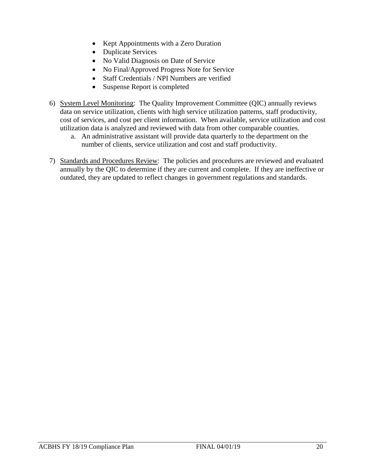- Kept Appointments with a Zero Duration
- Duplicate Services
- No Valid Diagnosis on Date of Service
- No Final/Approved Progress Note for Service
- Staff Credentials / NPI Numbers are verified
- Suspense Report is completed
- 6) System Level Monitoring: The Quality Improvement Committee (QIC) annually reviews data on service utilization, clients with high service utilization patterns, staff productivity, cost of services, and cost per client information. When available, service utilization and cost utilization data is analyzed and reviewed with data from other comparable counties.
	- a. An administrative assistant will provide data quarterly to the department on the number of clients, service utilization and cost and staff productivity.
- 7) Standards and Procedures Review: The policies and procedures are reviewed and evaluated annually by the QIC to determine if they are current and complete. If they are ineffective or outdated, they are updated to reflect changes in government regulations and standards.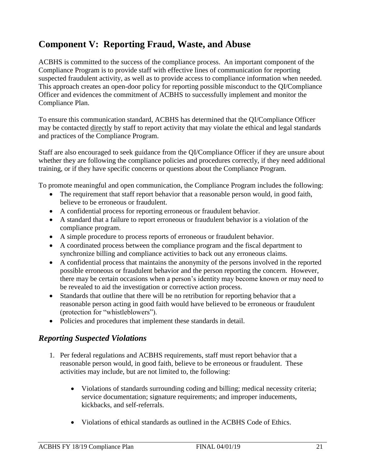# **Component V: Reporting Fraud, Waste, and Abuse**

ACBHS is committed to the success of the compliance process. An important component of the Compliance Program is to provide staff with effective lines of communication for reporting suspected fraudulent activity, as well as to provide access to compliance information when needed. This approach creates an open-door policy for reporting possible misconduct to the QI/Compliance Officer and evidences the commitment of ACBHS to successfully implement and monitor the Compliance Plan.

To ensure this communication standard, ACBHS has determined that the QI/Compliance Officer may be contacted directly by staff to report activity that may violate the ethical and legal standards and practices of the Compliance Program.

Staff are also encouraged to seek guidance from the QI/Compliance Officer if they are unsure about whether they are following the compliance policies and procedures correctly, if they need additional training, or if they have specific concerns or questions about the Compliance Program.

To promote meaningful and open communication, the Compliance Program includes the following:

- The requirement that staff report behavior that a reasonable person would, in good faith, believe to be erroneous or fraudulent.
- A confidential process for reporting erroneous or fraudulent behavior.
- A standard that a failure to report erroneous or fraudulent behavior is a violation of the compliance program.
- A simple procedure to process reports of erroneous or fraudulent behavior.
- A coordinated process between the compliance program and the fiscal department to synchronize billing and compliance activities to back out any erroneous claims.
- A confidential process that maintains the anonymity of the persons involved in the reported possible erroneous or fraudulent behavior and the person reporting the concern. However, there may be certain occasions when a person's identity may become known or may need to be revealed to aid the investigation or corrective action process.
- Standards that outline that there will be no retribution for reporting behavior that a reasonable person acting in good faith would have believed to be erroneous or fraudulent (protection for "whistleblowers").
- Policies and procedures that implement these standards in detail.

## *Reporting Suspected Violations*

- 1. Per federal regulations and ACBHS requirements, staff must report behavior that a reasonable person would, in good faith, believe to be erroneous or fraudulent. These activities may include, but are not limited to, the following:
	- Violations of standards surrounding coding and billing; medical necessity criteria; service documentation; signature requirements; and improper inducements, kickbacks, and self-referrals.
	- Violations of ethical standards as outlined in the ACBHS Code of Ethics.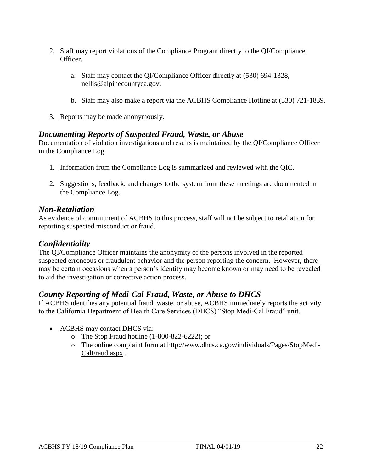- 2. Staff may report violations of the Compliance Program directly to the QI/Compliance Officer.
	- a. Staff may contact the QI/Compliance Officer directly at (530) 694-1328, nellis@alpinecountyca.gov.
	- b. Staff may also make a report via the ACBHS Compliance Hotline at (530) 721-1839.
- 3. Reports may be made anonymously.

## *Documenting Reports of Suspected Fraud, Waste, or Abuse*

Documentation of violation investigations and results is maintained by the QI/Compliance Officer in the Compliance Log.

- 1. Information from the Compliance Log is summarized and reviewed with the QIC.
- 2. Suggestions, feedback, and changes to the system from these meetings are documented in the Compliance Log.

#### *Non-Retaliation*

As evidence of commitment of ACBHS to this process, staff will not be subject to retaliation for reporting suspected misconduct or fraud.

#### *Confidentiality*

The QI/Compliance Officer maintains the anonymity of the persons involved in the reported suspected erroneous or fraudulent behavior and the person reporting the concern. However, there may be certain occasions when a person's identity may become known or may need to be revealed to aid the investigation or corrective action process.

## *County Reporting of Medi-Cal Fraud, Waste, or Abuse to DHCS*

If ACBHS identifies any potential fraud, waste, or abuse, ACBHS immediately reports the activity to the California Department of Health Care Services (DHCS) "Stop Medi-Cal Fraud" unit.

- ACBHS may contact DHCS via:
	- o The Stop Fraud hotline (1-800-822-6222); or
	- o The online complaint form at [http://www.dhcs.ca.gov/individuals/Pages/StopMedi-](http://www.dhcs.ca.gov/individuals/Pages/StopMedi-CalFraud.aspx)[CalFraud.aspx](http://www.dhcs.ca.gov/individuals/Pages/StopMedi-CalFraud.aspx) .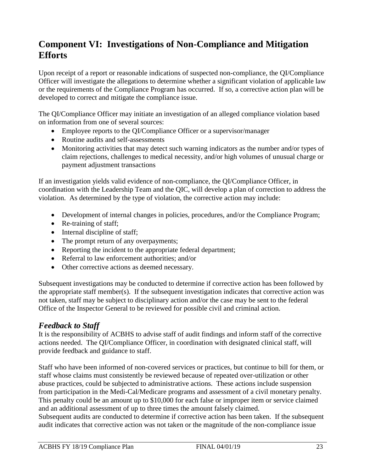# **Component VI: Investigations of Non-Compliance and Mitigation Efforts**

Upon receipt of a report or reasonable indications of suspected non-compliance, the QI/Compliance Officer will investigate the allegations to determine whether a significant violation of applicable law or the requirements of the Compliance Program has occurred. If so, a corrective action plan will be developed to correct and mitigate the compliance issue.

The QI/Compliance Officer may initiate an investigation of an alleged compliance violation based on information from one of several sources:

- Employee reports to the QI/Compliance Officer or a supervisor/manager
- Routine audits and self-assessments
- Monitoring activities that may detect such warning indicators as the number and/or types of claim rejections, challenges to medical necessity, and/or high volumes of unusual charge or payment adjustment transactions

If an investigation yields valid evidence of non-compliance, the QI/Compliance Officer, in coordination with the Leadership Team and the QIC, will develop a plan of correction to address the violation. As determined by the type of violation, the corrective action may include:

- Development of internal changes in policies, procedures, and/or the Compliance Program;
- Re-training of staff;
- Internal discipline of staff;
- The prompt return of any overpayments;
- Reporting the incident to the appropriate federal department;
- Referral to law enforcement authorities; and/or
- Other corrective actions as deemed necessary.

Subsequent investigations may be conducted to determine if corrective action has been followed by the appropriate staff member(s). If the subsequent investigation indicates that corrective action was not taken, staff may be subject to disciplinary action and/or the case may be sent to the federal Office of the Inspector General to be reviewed for possible civil and criminal action.

# *Feedback to Staff*

It is the responsibility of ACBHS to advise staff of audit findings and inform staff of the corrective actions needed. The QI/Compliance Officer, in coordination with designated clinical staff, will provide feedback and guidance to staff.

Staff who have been informed of non-covered services or practices, but continue to bill for them, or staff whose claims must consistently be reviewed because of repeated over-utilization or other abuse practices, could be subjected to administrative actions. These actions include suspension from participation in the Medi-Cal/Medicare programs and assessment of a civil monetary penalty. This penalty could be an amount up to \$10,000 for each false or improper item or service claimed and an additional assessment of up to three times the amount falsely claimed.

Subsequent audits are conducted to determine if corrective action has been taken. If the subsequent audit indicates that corrective action was not taken or the magnitude of the non-compliance issue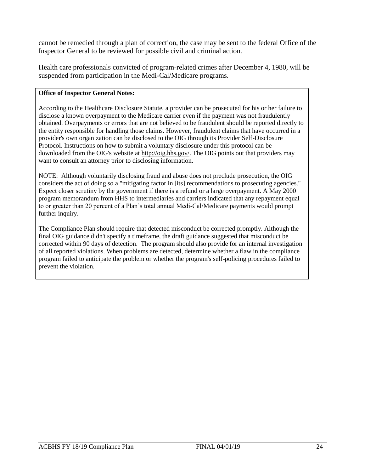cannot be remedied through a plan of correction, the case may be sent to the federal Office of the Inspector General to be reviewed for possible civil and criminal action.

Health care professionals convicted of program-related crimes after December 4, 1980, will be suspended from participation in the Medi-Cal/Medicare programs.

#### **Office of Inspector General Notes:**

According to the Healthcare Disclosure Statute, a provider can be prosecuted for his or her failure to disclose a known overpayment to the Medicare carrier even if the payment was not fraudulently obtained. Overpayments or errors that are not believed to be fraudulent should be reported directly to the entity responsible for handling those claims. However, fraudulent claims that have occurred in a provider's own organization can be disclosed to the OIG through its Provider Self-Disclosure Protocol. Instructions on how to submit a voluntary disclosure under this protocol can be downloaded from the OIG's website at [http://oig.hhs.gov/.](http://oig.hhs.gov/) The OIG points out that providers may want to consult an attorney prior to disclosing information.

NOTE: Although voluntarily disclosing fraud and abuse does not preclude prosecution, the OIG considers the act of doing so a "mitigating factor in [its] recommendations to prosecuting agencies." Expect closer scrutiny by the government if there is a refund or a large overpayment. A May 2000 program memorandum from HHS to intermediaries and carriers indicated that any repayment equal to or greater than 20 percent of a Plan's total annual Medi-Cal/Medicare payments would prompt further inquiry.

The Compliance Plan should require that detected misconduct be corrected promptly. Although the final OIG guidance didn't specify a timeframe, the draft guidance suggested that misconduct be corrected within 90 days of detection. The program should also provide for an internal investigation of all reported violations. When problems are detected, determine whether a flaw in the compliance program failed to anticipate the problem or whether the program's self-policing procedures failed to prevent the violation.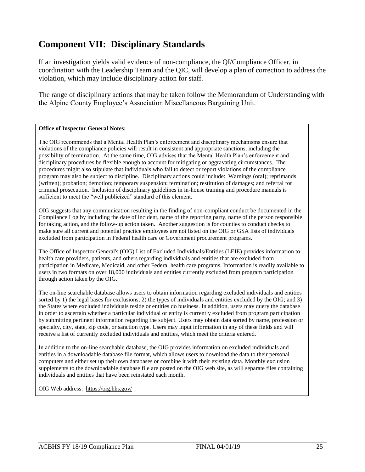# **Component VII: Disciplinary Standards**

If an investigation yields valid evidence of non-compliance, the QI/Compliance Officer, in coordination with the Leadership Team and the QIC, will develop a plan of correction to address the violation, which may include disciplinary action for staff.

The range of disciplinary actions that may be taken follow the Memorandum of Understanding with the Alpine County Employee's Association Miscellaneous Bargaining Unit.

#### **Office of Inspector General Notes:**

The OIG recommends that a Mental Health Plan's enforcement and disciplinary mechanisms ensure that violations of the compliance policies will result in consistent and appropriate sanctions, including the possibility of termination. At the same time, OIG advises that the Mental Health Plan's enforcement and disciplinary procedures be flexible enough to account for mitigating or aggravating circumstances. The procedures might also stipulate that individuals who fail to detect or report violations of the compliance program may also be subject to discipline. Disciplinary actions could include: Warnings (oral); reprimands (written); probation; demotion; temporary suspension; termination; restitution of damages; and referral for criminal prosecution. Inclusion of disciplinary guidelines in in-house training and procedure manuals is sufficient to meet the "well publicized" standard of this element.

OIG suggests that any communication resulting in the finding of non-compliant conduct be documented in the Compliance Log by including the date of incident, name of the reporting party, name of the person responsible for taking action, and the follow-up action taken. Another suggestion is for counties to conduct checks to make sure all current and potential practice employees are not listed on the OIG or GSA lists of individuals excluded from participation in Federal health care or Government procurement programs.

The Office of Inspector General's (OIG) List of Excluded Individuals/Entities (LEIE) provides information to health care providers, patients, and others regarding individuals and entities that are excluded from participation in Medicare, Medicaid, and other Federal health care programs. Information is readily available to users in two formats on over 18,000 individuals and entities currently excluded from program participation through action taken by the OIG.

The on-line searchable database allows users to obtain information regarding excluded individuals and entities sorted by 1) the legal bases for exclusions; 2) the types of individuals and entities excluded by the OIG; and 3) the States where excluded individuals reside or entities do business. In addition, users may query the database in order to ascertain whether a particular individual or entity is currently excluded from program participation by submitting pertinent information regarding the subject. Users may obtain data sorted by name, profession or specialty, city, state, zip code, or sanction type. Users may input information in any of these fields and will receive a list of currently excluded individuals and entities, which meet the criteria entered.

In addition to the on-line searchable database, the OIG provides information on excluded individuals and entities in a downloadable database file format, which allows users to download the data to their personal computers and either set up their own databases or combine it with their existing data. Monthly exclusion supplements to the downloadable database file are posted on the OIG web site, as will separate files containing individuals and entities that have been reinstated each month.

OIG Web address: <https://oig.hhs.gov/>